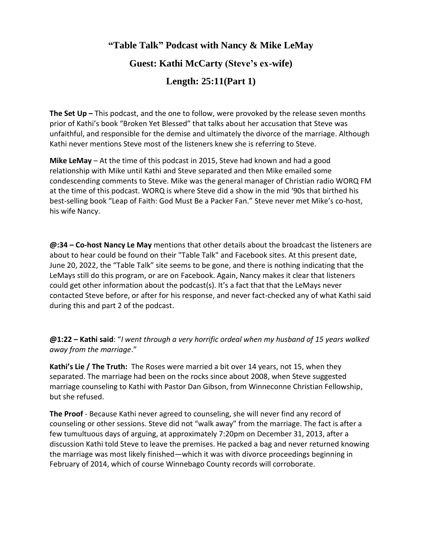# **"Table Talk" Podcast with Nancy & Mike LeMay Guest: Kathi McCarty (Steve's ex-wife) Length: 25:11(Part 1)**

**The Set Up –** This podcast, and the one to follow, were provoked by the release seven months prior of Kathi's book "Broken Yet Blessed" that talks about her accusation that Steve was unfaithful, and responsible for the demise and ultimately the divorce of the marriage. Although Kathi never mentions Steve most of the listeners knew she is referring to Steve.

**Mike LeMay** – At the time of this podcast in 2015, Steve had known and had a good relationship with Mike until Kathi and Steve separated and then Mike emailed some condescending comments to Steve. Mike was the general manager of Christian radio WORQ FM at the time of this podcast. WORQ is where Steve did a show in the mid '90s that birthed his best-selling book "Leap of Faith: God Must Be a Packer Fan." Steve never met Mike's co-host, his wife Nancy.

**@:34 – Co-host Nancy Le May** mentions that other details about the broadcast the listeners are about to hear could be found on their "Table Talk" and Facebook sites. At this present date, June 20, 2022, the "Table Talk" site seems to be gone, and there is nothing indicating that the LeMays still do this program, or are on Facebook. Again, Nancy makes it clear that listeners could get other information about the podcast(s). It's a fact that that the LeMays never contacted Steve before, or after for his response, and never fact-checked any of what Kathi said during this and part 2 of the podcast.

**@1:22 – Kathi said**: "*I went through a very horrific ordeal when my husband of 15 years walked away from the marriage*."

**Kathi's Lie / The Truth:** The Roses were married a bit over 14 years, not 15, when they separated. The marriage had been on the rocks since about 2008, when Steve suggested marriage counseling to Kathi with Pastor Dan Gibson, from Winneconne Christian Fellowship, but she refused.

**The Proof** - Because Kathi never agreed to counseling, she will never find any record of counseling or other sessions. Steve did not "walk away" from the marriage. The fact is after a few tumultuous days of arguing, at approximately 7:20pm on December 31, 2013, after a discussion Kathi told Steve to leave the premises. He packed a bag and never returned knowing the marriage was most likely finished—which it was with divorce proceedings beginning in February of 2014, which of course Winnebago County records will corroborate.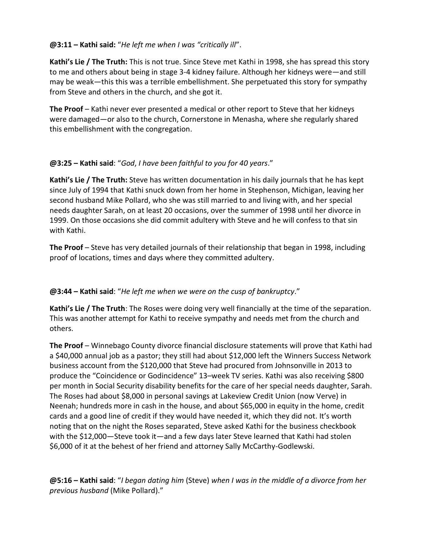#### **@3:11 – Kathi said:** "*He left me when I was "critically ill*".

**Kathi's Lie / The Truth:** This is not true. Since Steve met Kathi in 1998, she has spread this story to me and others about being in stage 3-4 kidney failure. Although her kidneys were—and still may be weak—this this was a terrible embellishment. She perpetuated this story for sympathy from Steve and others in the church, and she got it.

**The Proof** – Kathi never ever presented a medical or other report to Steve that her kidneys were damaged—or also to the church, Cornerstone in Menasha, where she regularly shared this embellishment with the congregation.

#### **@3:25 – Kathi said**: "*God*, *I have been faithful to you for 40 years*."

**Kathi's Lie / The Truth:** Steve has written documentation in his daily journals that he has kept since July of 1994 that Kathi snuck down from her home in Stephenson, Michigan, leaving her second husband Mike Pollard, who she was still married to and living with, and her special needs daughter Sarah, on at least 20 occasions, over the summer of 1998 until her divorce in 1999. On those occasions she did commit adultery with Steve and he will confess to that sin with Kathi.

**The Proof** – Steve has very detailed journals of their relationship that began in 1998, including proof of locations, times and days where they committed adultery.

#### **@3:44 – Kathi said**: "*He left me when we were on the cusp of bankruptcy*."

**Kathi's Lie / The Truth**: The Roses were doing very well financially at the time of the separation. This was another attempt for Kathi to receive sympathy and needs met from the church and others.

**The Proof** – Winnebago County divorce financial disclosure statements will prove that Kathi had a \$40,000 annual job as a pastor; they still had about \$12,000 left the Winners Success Network business account from the \$120,000 that Steve had procured from Johnsonville in 2013 to produce the "Coincidence or Godincidence" 13–week TV series. Kathi was also receiving \$800 per month in Social Security disability benefits for the care of her special needs daughter, Sarah. The Roses had about \$8,000 in personal savings at Lakeview Credit Union (now Verve) in Neenah; hundreds more in cash in the house, and about \$65,000 in equity in the home, credit cards and a good line of credit if they would have needed it, which they did not. It's worth noting that on the night the Roses separated, Steve asked Kathi for the business checkbook with the \$12,000—Steve took it—and a few days later Steve learned that Kathi had stolen \$6,000 of it at the behest of her friend and attorney Sally McCarthy-Godlewski.

**@5:16 – Kathi said**: "*I began dating him* (Steve) *when I was in the middle of a divorce from her previous husband* (Mike Pollard)."